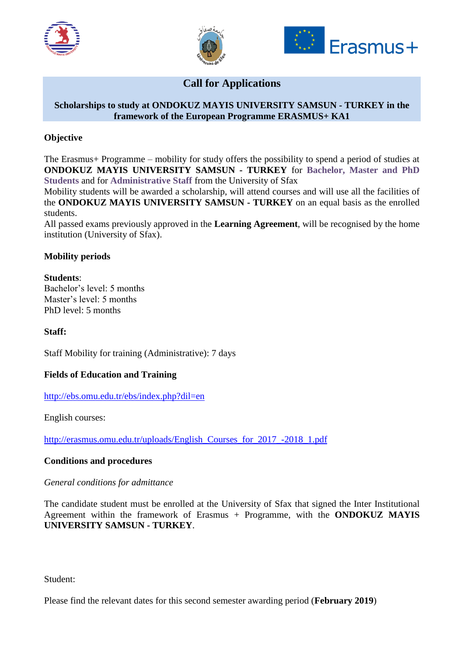





# **Call for Applications**

### **Scholarships to study at ONDOKUZ MAYIS UNIVERSITY SAMSUN - TURKEY in the framework of the European Programme ERASMUS+ KA1**

# **Objective**

The Erasmus+ Programme – mobility for study offers the possibility to spend a period of studies at **ONDOKUZ MAYIS UNIVERSITY SAMSUN - TURKEY** for **Bachelor, Master and PhD Students** and for **Administrative Staff** from the University of Sfax

Mobility students will be awarded a scholarship, will attend courses and will use all the facilities of the **ONDOKUZ MAYIS UNIVERSITY SAMSUN - TURKEY** on an equal basis as the enrolled students.

All passed exams previously approved in the **Learning Agreement**, will be recognised by the home institution (University of Sfax).

# **Mobility periods**

#### **Students**:

Bachelor's level: 5 months Master's level: 5 months PhD level: 5 months

#### **Staff:**

Staff Mobility for training (Administrative): 7 days

#### **Fields of Education and Training**

<http://ebs.omu.edu.tr/ebs/index.php?dil=en>

English courses:

[http://erasmus.omu.edu.tr/uploads/English\\_Courses\\_for\\_2017\\_-2018\\_1.pdf](http://erasmus.omu.edu.tr/uploads/English_Courses_for_2017_-2018_1.pdf)

#### **Conditions and procedures**

#### *General conditions for admittance*

The candidate student must be enrolled at the University of Sfax that signed the Inter Institutional Agreement within the framework of Erasmus + Programme, with the **ONDOKUZ MAYIS UNIVERSITY SAMSUN - TURKEY**.

Student:

Please find the relevant dates for this second semester awarding period (**February 2019**)